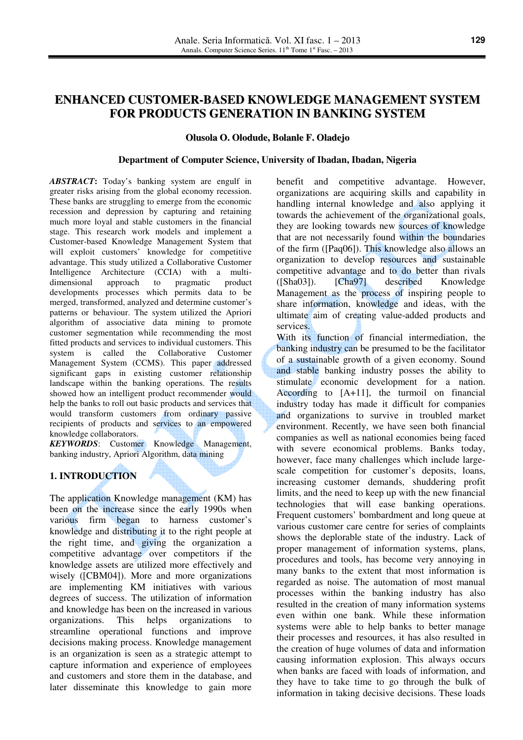# **ENHANCED CUSTOMER-BASED KNOWLEDGE MANAGEMENT SYSTEM FOR PRODUCTS GENERATION IN BANKING SYSTEM**

#### **Olusola O. Olodude, Bolanle F. Oladejo**

#### **Department of Computer Science, University of Ibadan, Ibadan, Nigeria**

*ABSTRACT***:** Today's banking system are engulf in greater risks arising from the global economy recession. These banks are struggling to emerge from the economic recession and depression by capturing and retaining much more loyal and stable customers in the financial stage. This research work models and implement a Customer-based Knowledge Management System that will exploit customers' knowledge for competitive advantage. This study utilized a Collaborative Customer Intelligence Architecture (CCIA) with a multidimensional approach to pragmatic product developments processes which permits data to be merged, transformed, analyzed and determine customer's patterns or behaviour. The system utilized the Apriori algorithm of associative data mining to promote customer segmentation while recommending the most fitted products and services to individual customers. This system is called the Collaborative Customer Management System (CCMS). This paper addressed significant gaps in existing customer relationship landscape within the banking operations. The results showed how an intelligent product recommender would help the banks to roll out basic products and services that would transform customers from ordinary passive recipients of products and services to an empowered knowledge collaborators.

*KEYWORDS*: Customer Knowledge Management, banking industry, Apriori Algorithm, data mining

#### **1. INTRODUCTION**

The application Knowledge management (KM) has been on the increase since the early 1990s when various firm began to harness customer's knowledge and distributing it to the right people at the right time, and giving the organization a competitive advantage over competitors if the knowledge assets are utilized more effectively and wisely ([CBM04]). More and more organizations are implementing KM initiatives with various degrees of success. The utilization of information and knowledge has been on the increased in various organizations. This helps organizations to streamline operational functions and improve decisions making process. Knowledge management is an organization is seen as a strategic attempt to capture information and experience of employees and customers and store them in the database, and later disseminate this knowledge to gain more

benefit and competitive advantage. However, organizations are acquiring skills and capability in handling internal knowledge and also applying it towards the achievement of the organizational goals, they are looking towards new sources of knowledge that are not necessarily found within the boundaries of the firm ([Paq06]). This knowledge also allows an organization to develop resources and sustainable competitive advantage and to do better than rivals ([Sha03]). [Cha97] described Knowledge Management as the process of inspiring people to share information, knowledge and ideas, with the ultimate aim of creating value-added products and services.

With its function of financial intermediation, the banking industry can be presumed to be the facilitator of a sustainable growth of a given economy. Sound and stable banking industry posses the ability to stimulate economic development for a nation. According to [A+11], the turmoil on financial industry today has made it difficult for companies and organizations to survive in troubled market environment. Recently, we have seen both financial companies as well as national economies being faced with severe economical problems. Banks today, however, face many challenges which include largescale competition for customer's deposits, loans, increasing customer demands, shuddering profit limits, and the need to keep up with the new financial technologies that will ease banking operations. Frequent customers' bombardment and long queue at various customer care centre for series of complaints shows the deplorable state of the industry. Lack of proper management of information systems, plans, procedures and tools, has become very annoying in many banks to the extent that most information is regarded as noise. The automation of most manual processes within the banking industry has also resulted in the creation of many information systems even within one bank. While these information systems were able to help banks to better manage their processes and resources, it has also resulted in the creation of huge volumes of data and information causing information explosion. This always occurs when banks are faced with loads of information, and they have to take time to go through the bulk of information in taking decisive decisions. These loads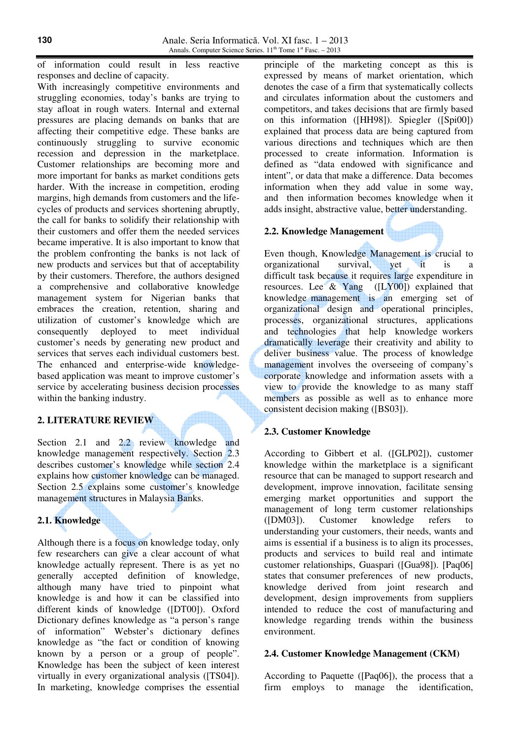of information could result in less reactive responses and decline of capacity.

With increasingly competitive environments and struggling economies, today's banks are trying to stay afloat in rough waters. Internal and external pressures are placing demands on banks that are affecting their competitive edge. These banks are continuously struggling to survive economic recession and depression in the marketplace. Customer relationships are becoming more and more important for banks as market conditions gets harder. With the increase in competition, eroding margins, high demands from customers and the lifecycles of products and services shortening abruptly, the call for banks to solidify their relationship with their customers and offer them the needed services became imperative. It is also important to know that the problem confronting the banks is not lack of new products and services but that of acceptability by their customers. Therefore, the authors designed a comprehensive and collaborative knowledge management system for Nigerian banks that embraces the creation, retention, sharing and utilization of customer's knowledge which are consequently deployed to meet individual customer's needs by generating new product and services that serves each individual customers best. The enhanced and enterprise-wide knowledgebased application was meant to improve customer's service by accelerating business decision processes within the banking industry.

## **2. LITERATURE REVIEW**

Section 2.1 and 2.2 review knowledge and knowledge management respectively. Section 2.3 describes customer's knowledge while section 2.4 explains how customer knowledge can be managed. Section 2.5 explains some customer's knowledge management structures in Malaysia Banks.

## **2.1. Knowledge**

Although there is a focus on knowledge today, only few researchers can give a clear account of what knowledge actually represent. There is as yet no generally accepted definition of knowledge, although many have tried to pinpoint what knowledge is and how it can be classified into different kinds of knowledge ([DT00]). Oxford Dictionary defines knowledge as "a person's range of information" Webster's dictionary defines knowledge as "the fact or condition of knowing known by a person or a group of people". Knowledge has been the subject of keen interest virtually in every organizational analysis ([TS04]). In marketing, knowledge comprises the essential

principle of the marketing concept as this is expressed by means of market orientation, which denotes the case of a firm that systematically collects and circulates information about the customers and competitors, and takes decisions that are firmly based on this information ([HH98]). Spiegler ([Spi00]) explained that process data are being captured from various directions and techniques which are then processed to create information. Information is defined as "data endowed with significance and intent", or data that make a difference. Data becomes information when they add value in some way, and then information becomes knowledge when it adds insight, abstractive value, better understanding.

#### **2.2. Knowledge Management**

Even though, Knowledge Management is crucial to organizational survival, yet it is a difficult task because it requires large expenditure in resources. Lee & Yang ([LY00]) explained that knowledge management is an emerging set of organizational design and operational principles, processes, organizational structures, applications and technologies that help knowledge workers dramatically leverage their creativity and ability to deliver business value. The process of knowledge management involves the overseeing of company's corporate knowledge and information assets with a view to provide the knowledge to as many staff members as possible as well as to enhance more consistent decision making ([BS03]).

### **2.3. Customer Knowledge**

According to Gibbert et al. ([GLP02]), customer knowledge within the marketplace is a significant resource that can be managed to support research and development, improve innovation, facilitate sensing emerging market opportunities and support the management of long term customer relationships ([DM03]). Customer knowledge refers to understanding your customers, their needs, wants and aims is essential if a business is to align its processes, products and services to build real and intimate customer relationships, Guaspari ([Gua98]). [Paq06] states that consumer preferences of new products, knowledge derived from joint research and development, design improvements from suppliers intended to reduce the cost of manufacturing and knowledge regarding trends within the business environment.

#### **2.4. Customer Knowledge Management (CKM)**

According to Paquette ([Paq06]), the process that a firm employs to manage the identification,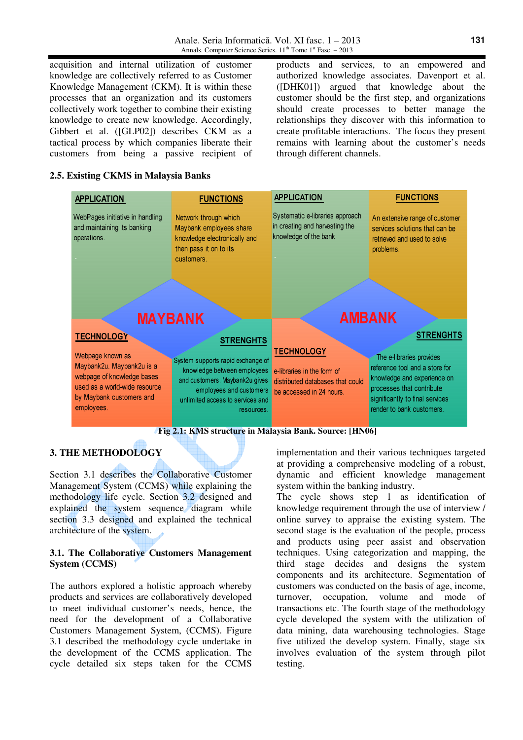acquisition and internal utilization of customer knowledge are collectively referred to as Customer Knowledge Management (CKM). It is within these processes that an organization and its customers collectively work together to combine their existing knowledge to create new knowledge. Accordingly, Gibbert et al. ([GLP02]) describes CKM as a tactical process by which companies liberate their customers from being a passive recipient of products and services, to an empowered and authorized knowledge associates. Davenport et al. ([DHK01]) argued that knowledge about the customer should be the first step, and organizations should create processes to better manage the relationships they discover with this information to create profitable interactions. The focus they present remains with learning about the customer's needs through different channels.

#### **2.5. Existing CKMS in Malaysia Banks**

| <b>APPLICATION</b>                                                                                                                                     | <b>FUNCTIONS</b>                                                                                                                                                                | <b>APPLICATION</b>                                                                                              | <b>FUNCTIONS</b>                                                                                                                                                                       |  |  |  |  |  |  |  |
|--------------------------------------------------------------------------------------------------------------------------------------------------------|---------------------------------------------------------------------------------------------------------------------------------------------------------------------------------|-----------------------------------------------------------------------------------------------------------------|----------------------------------------------------------------------------------------------------------------------------------------------------------------------------------------|--|--|--|--|--|--|--|
| WebPages initiative in handling<br>and maintaining its banking<br>operations.                                                                          | Network through which<br>Maybank employees share<br>knowledge electronically and<br>then pass it on to its<br>customers.                                                        | Systematic e-libraries approach<br>in creating and harvesting the<br>knowledge of the bank                      | An extensive range of customer<br>services solutions that can be<br>retrieved and used to solve<br>problems.                                                                           |  |  |  |  |  |  |  |
|                                                                                                                                                        | <b>MAYBANK</b>                                                                                                                                                                  | <b>AMBANK</b>                                                                                                   |                                                                                                                                                                                        |  |  |  |  |  |  |  |
| <b>TECHNOLOGY</b>                                                                                                                                      | <b>STRENGHTS</b>                                                                                                                                                                |                                                                                                                 | <b>STRENGHTS</b>                                                                                                                                                                       |  |  |  |  |  |  |  |
| Webpage known as<br>Maybank2u. Maybank2u is a<br>webpage of knowledge bases<br>used as a world-wide resource<br>by Maybank customers and<br>employees. | System supports rapid exchange of<br>knowledge between employees<br>and customers. Maybank2u gives<br>employees and customers<br>unlimited access to services and<br>resources. | <b>TECHNOLOGY</b><br>e-libraries in the form of<br>distributed databases that could<br>be accessed in 24 hours. | The e-libraries provides<br>reference tool and a store for<br>knowledge and experience on<br>processes that contribute<br>significantly to final services<br>render to bank customers. |  |  |  |  |  |  |  |
| Fig 2.1: KMS structure in Malaysia Bank. Source: [HN06]                                                                                                |                                                                                                                                                                                 |                                                                                                                 |                                                                                                                                                                                        |  |  |  |  |  |  |  |

#### **3. THE METHODOLOGY**

Section 3.1 describes the Collaborative Customer Management System (CCMS) while explaining the methodology life cycle. Section 3.2 designed and explained the system sequence diagram while section 3.3 designed and explained the technical architecture of the system.

#### **3.1. The Collaborative Customers Management System (CCMS)**

The authors explored a holistic approach whereby products and services are collaboratively developed to meet individual customer's needs, hence, the need for the development of a Collaborative Customers Management System, (CCMS). Figure 3.1 described the methodology cycle undertake in the development of the CCMS application. The cycle detailed six steps taken for the CCMS implementation and their various techniques targeted at providing a comprehensive modeling of a robust, dynamic and efficient knowledge management system within the banking industry.

The cycle shows step 1 as identification of knowledge requirement through the use of interview / online survey to appraise the existing system. The second stage is the evaluation of the people, process and products using peer assist and observation techniques. Using categorization and mapping, the third stage decides and designs the system components and its architecture. Segmentation of customers was conducted on the basis of age, income, turnover, occupation, volume and mode of transactions etc. The fourth stage of the methodology cycle developed the system with the utilization of data mining, data warehousing technologies. Stage five utilized the develop system. Finally, stage six involves evaluation of the system through pilot testing.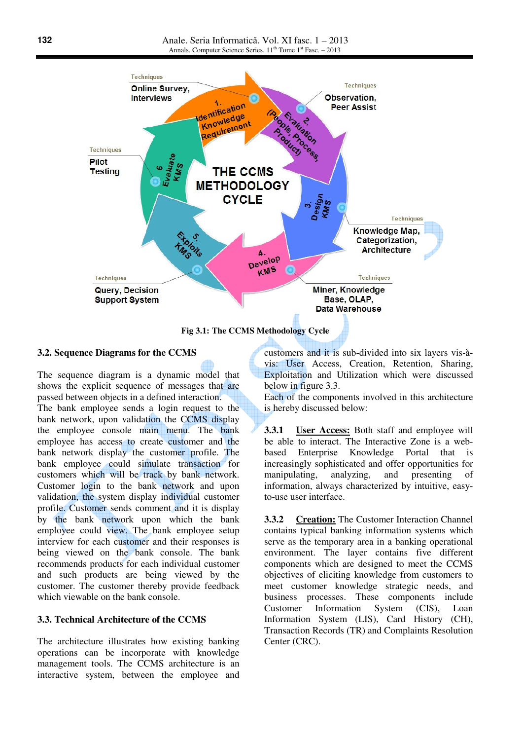

**Fig 3.1: The CCMS Methodology Cycle**

#### **3.2. Sequence Diagrams for the CCMS**

The sequence diagram is a dynamic model that shows the explicit sequence of messages that are passed between objects in a defined interaction. The bank employee sends a login request to the bank network, upon validation the CCMS display the employee console main menu. The bank employee has access to create customer and the bank network display the customer profile. The bank employee could simulate transaction for customers which will be track by bank network. Customer login to the bank network and upon validation, the system display individual customer profile. Customer sends comment and it is display by the bank network upon which the bank employee could view. The bank employee setup interview for each customer and their responses is being viewed on the bank console. The bank recommends products for each individual customer and such products are being viewed by the customer. The customer thereby provide feedback which viewable on the bank console.

#### **3.3. Technical Architecture of the CCMS**

The architecture illustrates how existing banking operations can be incorporate with knowledge management tools. The CCMS architecture is an interactive system, between the employee and customers and it is sub-divided into six layers vis-àvis: User Access, Creation, Retention, Sharing, Exploitation and Utilization which were discussed below in figure 3.3.

Each of the components involved in this architecture is hereby discussed below:

**3.3.1 User Access:** Both staff and employee will be able to interact. The Interactive Zone is a webbased Enterprise Knowledge Portal that is increasingly sophisticated and offer opportunities for manipulating, analyzing, and presenting of information, always characterized by intuitive, easyto-use user interface.

**3.3.2 Creation:** The Customer Interaction Channel contains typical banking information systems which serve as the temporary area in a banking operational environment. The layer contains five different components which are designed to meet the CCMS objectives of eliciting knowledge from customers to meet customer knowledge strategic needs, and business processes. These components include Customer Information System (CIS), Loan Information System (LIS), Card History (CH), Transaction Records (TR) and Complaints Resolution Center (CRC).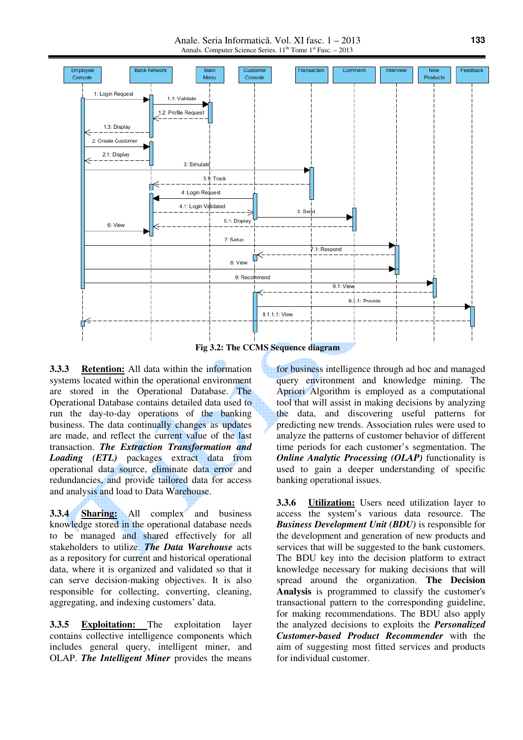Anale. Seria Informatică. Vol. XI fasc. 1 – 2013 Annals. Computer Science Series.  $11<sup>th</sup>$  Tome  $1<sup>st</sup>$  Fasc. – 2013



**3.3.3 Retention:** All data within the information systems located within the operational environment are stored in the Operational Database. The Operational Database contains detailed data used to run the day-to-day operations of the banking business. The data continually changes as updates are made, and reflect the current value of the last transaction. *The Extraction Transformation and Loading (ETL)* packages extract data from operational data source, eliminate data error and redundancies, and provide tailored data for access and analysis and load to Data Warehouse.

**3.3.4 Sharing:** All complex and business knowledge stored in the operational database needs to be managed and shared effectively for all stakeholders to utilize. *The Data Warehouse* acts as a repository for current and historical operational data, where it is organized and validated so that it can serve decision-making objectives. It is also responsible for collecting, converting, cleaning, aggregating, and indexing customers' data.

**3.3.5 Exploitation:** The exploitation layer contains collective intelligence components which includes general query, intelligent miner, and OLAP. *The Intelligent Miner* provides the means

for business intelligence through ad hoc and managed query environment and knowledge mining. The Apriori Algorithm is employed as a computational tool that will assist in making decisions by analyzing the data, and discovering useful patterns for predicting new trends. Association rules were used to analyze the patterns of customer behavior of different time periods for each customer's segmentation. The *Online Analytic Processing (OLAP)* functionality is used to gain a deeper understanding of specific banking operational issues.

**3.3.6 Utilization:** Users need utilization layer to access the system's various data resource. The *Business Development Unit (BDU)* is responsible for the development and generation of new products and services that will be suggested to the bank customers. The BDU key into the decision platform to extract knowledge necessary for making decisions that will spread around the organization. **The Decision Analysis** is programmed to classify the customer's transactional pattern to the corresponding guideline, for making recommendations. The BDU also apply the analyzed decisions to exploits the *Personalized Customer-based Product Recommender* with the aim of suggesting most fitted services and products for individual customer.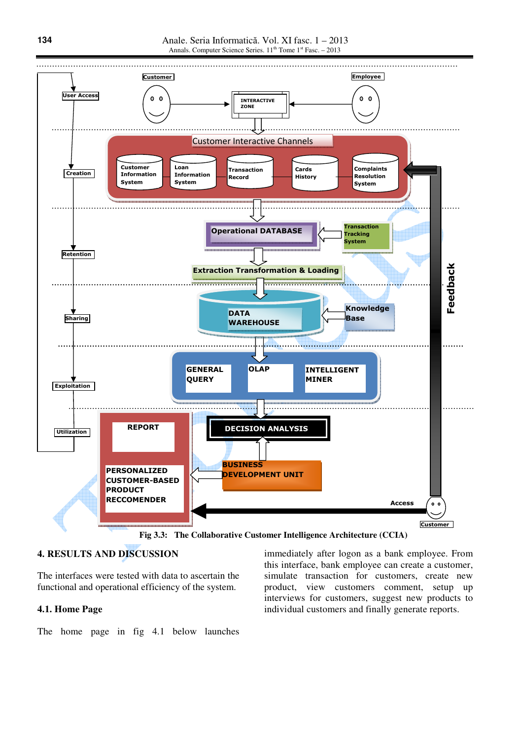

**4. RESULTS AND DISCUSSION** 

The interfaces were tested with data to ascertain the functional and operational efficiency of the system.

#### **4.1. Home Page**

The home page in fig 4.1 below launches

immediately after logon as a bank employee. From this interface, bank employee can create a customer, simulate transaction for customers, create new product, view customers comment, setup up interviews for customers, suggest new products to individual customers and finally generate reports.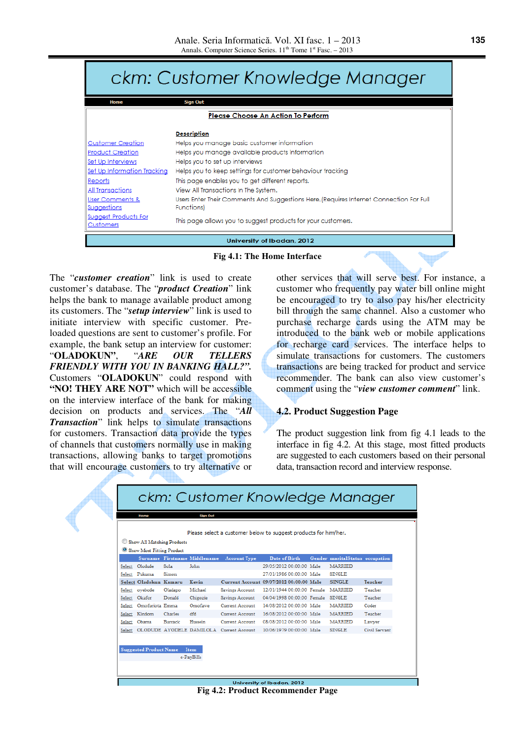|                                                 | ckm: Customer Knowledge Manager                                                         |  |  |  |  |  |
|-------------------------------------------------|-----------------------------------------------------------------------------------------|--|--|--|--|--|
| Home                                            | <b>Sign Out</b>                                                                         |  |  |  |  |  |
|                                                 | <b>Please Choose An Action To Perform</b>                                               |  |  |  |  |  |
|                                                 | <b>Description</b>                                                                      |  |  |  |  |  |
| Customer Creation                               | Helps you manage basic customer information                                             |  |  |  |  |  |
| <b>Product Creation</b>                         | Helps you manage available products information                                         |  |  |  |  |  |
| <u>Set Up Interviews</u>                        | Helps you to set up interviews                                                          |  |  |  |  |  |
| Set Up Information Tracking                     | Helps you to keep settings for customer behaviour tracking                              |  |  |  |  |  |
| <u>Reports</u>                                  | This page enables you to get different reports.                                         |  |  |  |  |  |
| All Transactions                                | View All Transactions In The System.                                                    |  |  |  |  |  |
| User Comments &                                 | Users Enter Their Comments And Suggestions Here. (Requires Internet Connection For Full |  |  |  |  |  |
| Suggestions                                     | Functions)                                                                              |  |  |  |  |  |
| <u>Suggest Products For</u><br><u>Customers</u> | This page allows you to suggest products for your customers.                            |  |  |  |  |  |
| University of Ibadan, 2012                      |                                                                                         |  |  |  |  |  |
|                                                 |                                                                                         |  |  |  |  |  |

**Fig 4.1: The Home Interface** 

The "*customer creation*" link is used to create customer's database. The "*product Creation*" link helps the bank to manage available product among its customers. The "*setup interview*" link is used to initiate interview with specific customer. Preloaded questions are sent to customer's profile. For example, the bank setup an interview for customer: "**OLADOKUN"**, "*ARE OUR TELLERS FRIENDLY WITH YOU IN BANKING HALL?".* Customers "**OLADOKUN**" could respond with **"NO! THEY ARE NOT"** which will be accessible on the interview interface of the bank for making decision on products and services. The "*All Transaction*" link helps to simulate transactions for customers. Transaction data provide the types of channels that customers normally use in making transactions, allowing banks to target promotions that will encourage customers to try alternative or

other services that will serve best. For instance, a customer who frequently pay water bill online might be encouraged to try to also pay his/her electricity bill through the same channel. Also a customer who purchase recharge cards using the ATM may be introduced to the bank web or mobile applications for recharge card services. The interface helps to simulate transactions for customers. The customers transactions are being tracked for product and service recommender. The bank can also view customer's comment using the "*view customer comment*" link.

#### **4.2. Product Suggestion Page**

The product suggestion link from fig 4.1 leads to the interface in fig 4.2. At this stage, most fitted products are suggested to each customers based on their personal data, transaction record and interview response.

|        |                               |         |                              |                                          | Please select a customer below to suggest products for him/her. |  |                                 |               |  |
|--------|-------------------------------|---------|------------------------------|------------------------------------------|-----------------------------------------------------------------|--|---------------------------------|---------------|--|
|        | Show All Matching Products    |         |                              |                                          |                                                                 |  |                                 |               |  |
|        | Show Most Fitting Product     |         |                              |                                          |                                                                 |  |                                 |               |  |
|        |                               |         | Surname Firstname Middlename | <b>Account Type</b>                      | <b>Date of Birth</b>                                            |  | Gender maritalStatus occupation |               |  |
|        | Select Olodude                | Sola    | John                         |                                          | 29/05/2012 00:00:00 Male                                        |  | <b>MARRIED</b>                  |               |  |
|        | Select Pukuma                 | Simon   |                              |                                          | 27/01/1986 00:00:00 Male                                        |  | <b>SINGLE</b>                   |               |  |
|        | Select Oladokun Kamaru        |         | Kevin                        |                                          | Current Account 09/07/2012 00:00:00 Male                        |  | <b>SINGLE</b>                   | Teacher       |  |
| Select | oyebode                       | Oladapo | Michael                      | Savings Account                          | 12/01/1944 00:00:00 Female                                      |  | MARRIED                         | Teacher       |  |
| Select | Okafor                        | Donald  | Chigozie                     | Savings Account                          | 04/04/1998 00:00:00 Female                                      |  | <b>SINGLE</b>                   | Teacher       |  |
| Select | Omofuriota Emma               |         | Omofawe                      | Current Account                          | 14/08/2012 00:00:00 Male                                        |  | <b>MARRIED</b>                  | Coder         |  |
|        | Select Kindom                 | Charles | dfd                          | Current Account                          | 16/08/2012 00:00:00 Male                                        |  | <b>MARRIED</b>                  | Teacher       |  |
| Select | Obama                         | Barrack | Hussein                      | Current Account                          | 08/08/2012 00:00:00 Male                                        |  | MARRIED                         | Lawyer        |  |
| Select |                               |         |                              | OLODUDE AYODELE DAMILOLA Current Account | 10/06/1979 00:00:00 Male                                        |  | <b>SINGLE</b>                   | Civil Servant |  |
|        | <b>Suggested Product Name</b> |         | Item<br>e-PayBills           |                                          |                                                                 |  |                                 |               |  |

**Fig 4.2: Product Recommender Page**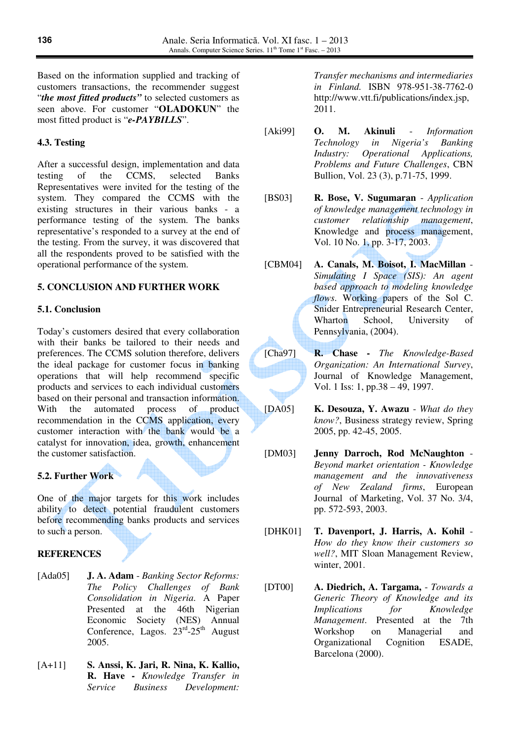Based on the information supplied and tracking of customers transactions, the recommender suggest "*the most fitted products"* to selected customers as seen above. For customer "**OLADOKUN**" the most fitted product is "*e-PAYBILLS*".

### **4.3. Testing**

After a successful design, implementation and data testing of the CCMS, selected Banks Representatives were invited for the testing of the system. They compared the CCMS with the existing structures in their various banks - a performance testing of the system. The banks representative's responded to a survey at the end of the testing. From the survey, it was discovered that all the respondents proved to be satisfied with the operational performance of the system.

### **5. CONCLUSION AND FURTHER WORK**

### **5.1. Conclusion**

Today's customers desired that every collaboration with their banks be tailored to their needs and preferences. The CCMS solution therefore, delivers the ideal package for customer focus in banking operations that will help recommend specific products and services to each individual customers based on their personal and transaction information. With the automated process of product recommendation in the CCMS application, every customer interaction with the bank would be a catalyst for innovation, idea, growth, enhancement the customer satisfaction.

## **5.2. Further Work**

One of the major targets for this work includes ability to detect potential fraudulent customers before recommending banks products and services to such a person.

### **REFERENCES**

- [Ada05] **J. A. Adam** *Banking Sector Reforms: The Policy Challenges of Bank Consolidation in Nigeria*. A Paper Presented at the 46th Nigerian Economic Society (NES) Annual Conference, Lagos.  $23<sup>rd</sup> - 25<sup>th</sup>$  August 2005.
- [A+11] **S. Anssi, K. Jari, R. Nina, K. Kallio, R. Have -** *Knowledge Transfer in Service Business Development:*

*Transfer mechanisms and intermediaries in Finland.* ISBN 978-951-38-7762-0 http://www.vtt.fi/publications/index.jsp, 2011.

- [Aki99] **O. M. Akinuli** *Information Technology in Nigeria's Banking Industry: Operational Applications, Problems and Future Challenges*, CBN Bullion, Vol. 23 (3), p.71-75, 1999.
- [BS03] **R. Bose, V. Sugumaran** *Application of knowledge management technology in customer relationship management*, Knowledge and process management, Vol. 10 No. 1, pp. 3-17, 2003.
- [CBM04] **A. Canals, M. Boisot, I. MacMillan** *Simulating I Space (SIS): An agent based approach to modeling knowledge flows*. Working papers of the Sol C. Snider Entrepreneurial Research Center, Wharton School, University of Pennsylvania, (2004).
- J [Cha97] **R. Chase -** *The Knowledge-Based Organization: An International Survey*, Journal of Knowledge Management, Vol. 1 Iss: 1, pp.38 – 49, 1997.
- [DA05] **K. Desouza, Y. Awazu** *What do they know?*, Business strategy review, Spring 2005, pp. 42-45, 2005.
- [DM03] **Jenny Darroch, Rod McNaughton** *Beyond market orientation - Knowledge management and the innovativeness of New Zealand firms*, European Journal of Marketing, Vol. 37 No. 3/4, pp. 572-593, 2003.
- [DHK01] **T. Davenport, J. Harris, A. Kohil** *How do they know their customers so well?*, MIT Sloan Management Review, winter, 2001.
- [DT00] **A. Diedrich, A. Targama,**  *Towards a Generic Theory of Knowledge and its Implications for Knowledge Management*. Presented at the 7th Workshop on Managerial and Organizational Cognition ESADE, Barcelona (2000).